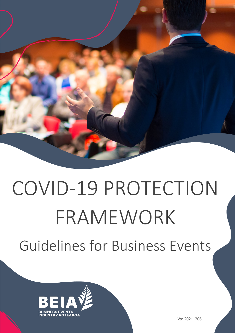

# COVID-19 PROTECTION FRAMEWORK Guidelines for Business Events



Vs: 20211206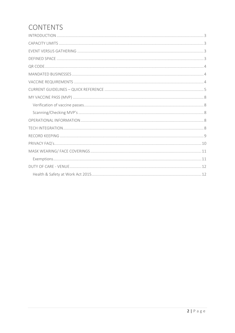# **CONTENTS**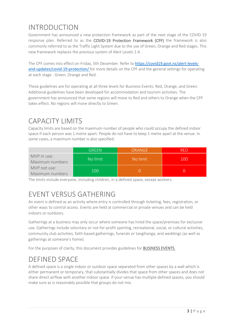## <span id="page-2-0"></span>INTRODUCTION

Government has announced a new protection framework as part of the next stage of the COVID-19 response plan. Referred to as the COVID-19 Protection Framework (CPF) the framework is also commonly referred to as the Traffic Light System due to the use of Green, Orange and Red stages. This new framework replaces the previous system of Alert Levels 1-4.

The CPF comes into effect on Friday, 5th December. Refer to [https://covid19.govt.nz/alert-levels](https://covid19.govt.nz/alert-levels-and-updates/covid-19-protection/)[and-updates/covid-19-protection/](https://covid19.govt.nz/alert-levels-and-updates/covid-19-protection/) for more details on the CPF and the general settings for operating at each stage - Green, Orange and Red.

These guidelines are for operating at all three levels for Business Events: Red, Orange, and Green. Additional guidelines have been developed for accommodation and tourism activities. The government has announced that some regions will move to Red and others to Orange when the CPF takes effect. No regions will move directly to Green.

## <span id="page-2-1"></span>CAPACITY LIMITS

Capacity limits are based on the maximum number of people who could occupy the defined indoor space if each person was 1 metre apart. People do not have to keep 1 metre apart at the venue. In some cases, a maximum number is also specified.

|                                 | <b>GREEN</b> | ORANGE   |     |
|---------------------------------|--------------|----------|-----|
| MVP in use:<br>Maximum numbers  | No limit     | No limit | 100 |
| MVP not use:<br>Maximum numbers | 100          |          |     |

The limits include everyone, including children, in a defined space, except workers.

# <span id="page-2-2"></span>EVENT VERSUS GATHERING

An event is defined as an activity where entry is controlled through ticketing, fees, registration, or other ways to control access. Events are held at commercial or private venues and can be held indoors or outdoors.

Gatherings at a business may only occur where someone has hired the space/premises for exclusive use. Gatherings include voluntary or not-for-profit sporting, recreational, social, or cultural activities, community club activities, faith-based gatherings, funerals or tangihanga, and weddings (as well as gatherings at someone's home).

For the purposes of clarity, this document provides guidelines for BUSINESS EVENTS.

## <span id="page-2-3"></span>DEFINED SPACE

A defined space is a single indoor or outdoor space separated from other spaces by a wall which is either permanent or temporary, that substantially divides that space from other spaces and does not share direct airflow with another indoor space. If your venue has multiple defined spaces, you should make sure as is reasonably possible that groups do not mix.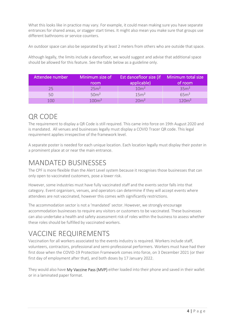What this looks like in practice may vary. For example, it could mean making sure you have separate entrances for shared areas, or stagger start times. It might also mean you make sure that groups use different bathrooms or service counters.

An outdoor space can also be separated by at least 2 meters from others who are outside that space.

Although legally, the limits include a dancefloor, we would suggest and advise that additional space should be allowed for this feature. See the table below as a guideline only.

| Attendee number | Minimum size of<br>room | Est dancefloor size (if Minimum total size<br>applicable) | of room           |
|-----------------|-------------------------|-----------------------------------------------------------|-------------------|
| つら              | 25m <sup>2</sup>        | 10 <sup>m²</sup>                                          | 35m <sup>2</sup>  |
| 50              | 50 <sup>m²</sup>        | 15m <sup>2</sup>                                          | 65m <sup>2</sup>  |
| 1 N N           | 100 <sup>m²</sup>       | 20 <sup>m²</sup>                                          | 120m <sup>2</sup> |

## <span id="page-3-0"></span>QR CODE

The requirement to display a QR Code is still required. This came into force on 19th August 2020 and is mandated. All venues and businesses legally must display a COVID Tracer QR code. This legal requirement applies irrespective of the framework level.

A separate poster is needed for each unique location. Each location legally must display their poster in a prominent place at or near the main entrance.

## <span id="page-3-1"></span>MANDATED BUSINESSES

The CPF is more flexible than the Alert Level system because it recognises those businesses that can only open to vaccinated customers, pose a lower risk.

However, some industries must have fully vaccinated staff and the events sector falls into that category. Event organisers, venues, and operators can determine if they will accept events where attendees are not vaccinated, however this comes with significantly restrictions.

The accommodation sector is not a 'mandated' sector. However, we strongly encourage accommodation businesses to require any visitors or customers to be vaccinated. These businesses can also undertake a health and safety assessment risk of roles within the business to assess whether these roles should be fulfilled by vaccinated workers.

# <span id="page-3-2"></span>VACCINE REQUIREMENTS

Vaccination for all workers associated to the events industry is required. Workers include staff, volunteers, contractors, professional and semi-professional performers. Workers must have had their first dose when the COVID-19 Protection Framework comes into force, on 3 December 2021 (or their first day of employment after that), and both doses by 17 January 2022.

They would also have My Vaccine Pass (MVP) either loaded into their phone and saved in their wallet or in a laminated paper format.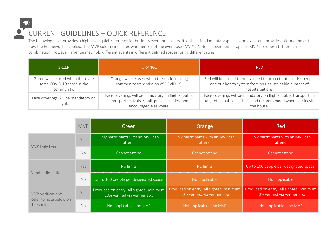

The following table provides a high level, quick reference for business event organisers. It looks at fundamental aspects of an event and provides information as to how the Framework is applied. The MVP column indicates whether or not the event uses MVP's. Note: an event either applies MVP's or doesn't. There is no combination. However, a venue may hold different events in different defined spaces, using different rules.

| <b>GREEN</b>                                                                  | <b>ORANGE</b>                                                                                                                       | RED.                                                                                                                                                  |
|-------------------------------------------------------------------------------|-------------------------------------------------------------------------------------------------------------------------------------|-------------------------------------------------------------------------------------------------------------------------------------------------------|
| Green will be used when there are<br>some COVID-19 cases in the<br>community. | Orange will be used when there's increasing<br>community transmission of COVID-19.                                                  | Red will be used if there's a need to protect both at-risk people<br>and our health system from an unsustainable number of<br>hospitalisations.       |
| Face coverings will be mandatory on<br>flights                                | Face coverings will be mandatory on flights, public<br>transport, in taxis, retail, public facilities, and<br>encouraged elsewhere. | Face coverings will be mandatory on flights, public transport, in<br>taxis, retail, public facilities, and recommended whenever leaving<br>the house. |

<span id="page-4-0"></span>

|                                                           | <b>MVP</b> | Green                                                                    | Orange                                                                   | <b>Red</b>                                                               |
|-----------------------------------------------------------|------------|--------------------------------------------------------------------------|--------------------------------------------------------------------------|--------------------------------------------------------------------------|
| MVP Only Event                                            | Yes        | Only participants with an MVP can<br>attend                              | Only participants with an MVP can<br>attend                              | Only participants with an MVP can<br>attend                              |
|                                                           | <b>No</b>  | Cannot attend                                                            | Cannot attend                                                            | Cannot attend                                                            |
| Number limitation                                         | Yes        | No limits                                                                | No limits                                                                | Up to 100 people per designated space.                                   |
|                                                           | <b>No</b>  | Up to 100 people per designated space                                    | Not applicable                                                           | Not applicable                                                           |
| MVP Verification*<br>Refer to note below on<br>thresholds | Yes        | Produced on entry. All sighted, minimum<br>20% verified via verifier app | Produced on entry. All sighted, minimum<br>20% verified via verifier app | Produced on entry. All sighted, minimum<br>20% verified via verifier app |
|                                                           | <b>No</b>  | Not applicable if no MVP                                                 | Not applicable if no MVP                                                 | Not applicable if no MVP                                                 |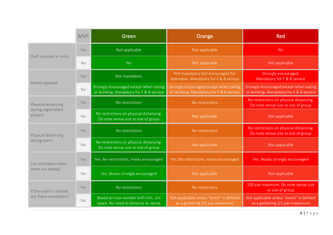|                                                       | <b>MVP</b> | Green                                                                              | Orange                                                                             | <b>Red</b>                                                                         |
|-------------------------------------------------------|------------|------------------------------------------------------------------------------------|------------------------------------------------------------------------------------|------------------------------------------------------------------------------------|
| Staff included in limits                              | Yes        | Not applicable                                                                     | Not applicable                                                                     | <b>No</b>                                                                          |
|                                                       | No.        | <b>No</b>                                                                          | Not applicable                                                                     | Not applicable                                                                     |
| Masks required                                        | Yes        | Not mandatory                                                                      | Not mandatory but encouraged for<br>attendees. Mandatory for F & B service         | Strongly encouraged.<br>Mandatory for F & B service                                |
|                                                       | <b>No</b>  | Strongly encouraged except when eating<br>or drinking. Mandatory for F & B service | Strongly encouraged except when eating<br>or drinking. Mandatory for F & B service | Strongly encouraged except when eating<br>or drinking. Mandatory for F & B service |
| Physical distancing<br>during registration<br>process | Yes        | No restrictions                                                                    | No restrictions                                                                    | No restrictions on physical distancing.<br>Do note venue size vs size of group     |
|                                                       | No         | No restrictions on physical distancing.<br>Do note venue size vs size of group     | Not applicable                                                                     | Not applicable                                                                     |
| Physical distancing<br>during event                   | Yes        | No restrictions                                                                    | No restrictions                                                                    | No restrictions on physical distancing.<br>Do note venue size vs size of group     |
|                                                       | <b>No</b>  | No restrictions on physical distancing.<br>Do note venue size vs size of group     | Not applicable                                                                     | Not applicable                                                                     |
| Can attendees move<br>when not eating?                | Yes        | Yes. No restrictions, masks encouraged                                             | Yes. No restrictions, masks encouraged                                             | Yes. Masks strongly encouraged                                                     |
|                                                       | <b>No</b>  | Yes. Masks strongly encouraged                                                     | Not applicable                                                                     | Not applicable                                                                     |
| If the event is outside,<br>are there restrictions?   | Yes        | No restrictions                                                                    | No restrictions                                                                    | 100 pax maximum. Do note venue size<br>vs size of group                            |
|                                                       | No         | Based on max number with min. 1m<br>space. No need to distance at venue            | Not applicable unless "event" is defined<br>as a gathering (50 pax maximum)        | Not applicable unless "event" is defined<br>as a gathering (25 pax maximum)        |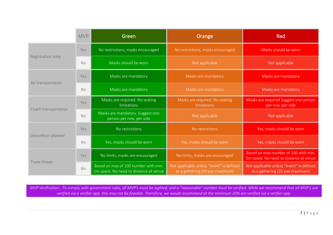|                      | <b>MVP</b> | Green                                                                          | Orange                                                                      | <b>Red</b>                                                                     |
|----------------------|------------|--------------------------------------------------------------------------------|-----------------------------------------------------------------------------|--------------------------------------------------------------------------------|
| Registration area    | Yes        | No restrictions, masks encouraged                                              | No restrictions, masks encouraged                                           | Masks should be worn                                                           |
|                      | No         | Masks should be worn                                                           | Not applicable                                                              | Not applicable                                                                 |
| Air transportation   | Yes        | Masks are mandatory                                                            | Masks are mandatory                                                         | Masks are mandatory                                                            |
|                      | <b>No</b>  | Masks are mandatory                                                            | Masks are mandatory                                                         | Masks are mandatory                                                            |
| Coach transportation | Yes        | Masks are required. No seating<br>limitations                                  | Masks are required. No seating<br>limitations                               | Masks are required Suggest one person<br>per row, per side                     |
|                      | No         | Masks are mandatory. Suggest one<br>person per row, per side                   | Not applicable                                                              | Not applicable                                                                 |
| Dancefloor allowed   | <b>Yes</b> | No restrictions                                                                | No restrictions                                                             | Yes, masks should be worn                                                      |
|                      | <b>No</b>  | Yes, masks should be worn                                                      | Yes, masks should be worn                                                   | Yes, masks should be worn                                                      |
| Trade Shows          | <b>Yes</b> | No limits, masks are encouraged                                                | No limits, masks are encouraged                                             | Based on max number of 100 with min.<br>1m space. No need to distance at venue |
|                      | <b>No</b>  | Based on max of 100 number with min.<br>1m space. No need to distance at venue | Not applicable unless "event" is defined<br>as a gathering (50 pax maximum) | Not applicable unless "event" is defined<br>as a gathering (25 pax maximum)    |

*MVP Verification: To comply with government rules, all MVP's must be sighted, and a "reasonable" number must be verified. While we recommend that all MVP's are verified via a verifier app, this may not be feasible. Therefore, we would recommend at the minimum 20% are verified via a verifier app.*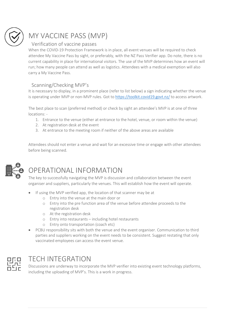

# <span id="page-7-0"></span>MY VACCINE PASS (MVP)

## <span id="page-7-1"></span>Verification of vaccine passes

When the COVID-19 Protection Framework is in place, all event venues will be required to check attendee My Vaccine Pass by sight, or preferably, with the NZ Pass Verifier app. Do note, there is no current capability in place for international visitors. The use of the MVP determines how an event will run; how many people can attend as well as logistics. Attendees with a medical exemption will also carry a My Vaccine Pass.

## <span id="page-7-2"></span>Scanning/Checking MVP's

It is necessary to display, in a prominent place (refer to list below) a sign indicating whether the venue is operating under MVP or non-MVP rules. Got to<https://toolkit.covid19.govt.nz/> to access artwork.

The best place to scan (preferred method) or check by sight an attendee's MVP is at one of three locations: -

- 1. Entrance to the venue (either at entrance to the hotel, venue, or room within the venue)
- 2. At registration desk at the event
- 3. At entrance to the meeting room if neither of the above areas are available

Attendees should not enter a venue and wait for an excessive time or engage with other attendees before being scanned.



## <span id="page-7-3"></span>OPERATIONAL INFORMATION

The key to successfully navigating the MVP is discussion and collaboration between the event organiser and suppliers, particularly the venues. This will establish how the event will operate.

- If using the MVP verified app, the location of that scanner may be at
	- o Entry into the venue at the main door or
	- o Entry into the pre function area of the venue before attendee proceeds to the registration desk
	- o At the registration desk
	- o Entry into restaurants including hotel restaurants
	- o Entry onto transportation (coach etc)
- PCBU responsibility sits with both the venue and the event organiser. Communication to third parties and suppliers working on the event needs to be consistent. Suggest restating that only vaccinated employees can access the event venue.



## <span id="page-7-4"></span>TECH INTEGRATION

Discussions are underway to incorporate the MVP verifier into existing event technology platforms, including the uploading of MVP's. This is a work in progress.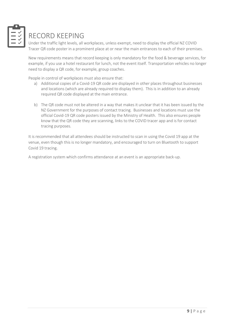

# <span id="page-8-0"></span>RECORD KEEPING

Under the traffic light levels, all workplaces, unless exempt, need to display the official NZ COVID Tracer QR code poster in a prominent place at or near the main entrances to each of their premises.

New requirements means that record keeping is only mandatory for the food & beverage services, for example, if you use a hotel restaurant for lunch, not the event itself. Transportation vehicles no longer need to display a QR code, for example, group coaches.

People in control of workplaces must also ensure that:

- a) Additional copies of a Covid-19 QR code are displayed in other places throughout businesses and locations (which are already required to display them). This is in addition to an already required QR code displayed at the main entrance.
- b) The QR code must not be altered in a way that makes it unclear that it has been issued by the NZ Government for the purposes of contact tracing. Businesses and locations must use the official Covid-19 QR code posters issued by the Ministry of Health. This also ensures people know that the QR code they are scanning, links to the COVID tracer app and is for contact tracing purposes.

It is recommended that all attendees should be instructed to scan in using the Covid 19 app at the venue, even though this is no longer mandatory, and encouraged to turn on Bluetooth to support Covid 19 tracing.

A registration system which confirms attendance at an event is an appropriate back-up.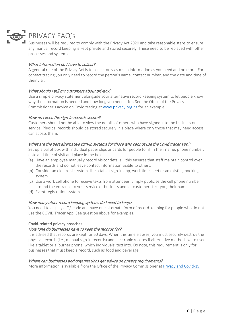

<span id="page-9-0"></span>Businesses will be required to comply with the Privacy Act 2020 and take reasonable steps to ensure any manual record keeping is kept private and stored securely. These need to be replaced with other processes and systems.

#### What information do I have to collect?

A general rule of the Privacy Act is to collect only as much information as you need and no more. For contact tracing you only need to record the person's name, contact number, and the date and time of their visit

### What should I tell my customers about privacy?

Use a simple privacy statement alongside your alternative record keeping system to let people know why the information is needed and how long you need it for. See the Office of the Privacy Commissioner's advice on Covid tracing at www.privacy.org.nz for an example.

#### How do I keep the sign-in records secure?

Customers should not be able to view the details of others who have signed into the business or service. Physical records should be stored securely in a place where only those that may need access can access them.

#### What are the best alternative sign-in systems for those who cannot use the Covid tracer app?

Set up a ballot box with individual paper slips or cards for people to fill in their name, phone number, date and time of visit and place in the box.

- (a) Have an employee manually record visitor details this ensures that staff maintain control over the records and do not leave contact information visible to others.
- (b) Consider an electronic system, like a tablet sign-in app, work timesheet or an existing booking system.
- (c) Use a work cell phone to receive texts from attendees. Simply publicise the cell phone number around the entrance to your service or business and let customers text you, their name.
- (d) Event registration system.

#### How many other record keeping systems do I need to keep?

You need to display a QR code and have one alternate form of record-keeping for people who do not use the COVID Tracer App. See question above for examples.

#### Covid-related privacy breaches.

#### How long do businesses have to keep the records for?

It is advised that records are kept for 60 days. When this time elapses, you must securely destroy the physical records (i.e., manual sign-in records) and electronic records if alternative methods were used like a tablet or a 'burner phone' which individuals' text into. Do note, this requirement is only for businesses that must keep a record, such as food and beverage.

#### Where can businesses and organisations get advice on privacy requirements?

More information is available from the Office of the Privacy Commissioner a[t Privacy and Covid-19](https://www.privacy.org.nz/resources-2/privacy-and-covid-19/)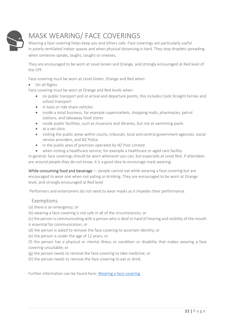

# <span id="page-10-0"></span>MASK WEARING/ FACE COVERINGS

Wearing a face covering helps keep you and others safe. Face coverings are particularly useful in poorly ventilated indoor spaces and when physical distancing is hard. They stop droplets spreading when someone speaks, laughs, coughs or sneezes.

They are encouraged to be worn at Level Green and Orange, and strongly encouraged at Red level of the CPF.

Face covering must be worn at Level Green, Orange and Red when:

• On all flights

Face covering must be worn at Orange and Red levels when:

- on public transport and at arrival and departure points, this includes Cook Straight Ferries and school transport
- in taxis or ride share vehicles
- inside a retail business, for example supermarkets, shopping malls, pharmacies, petrol stations, and takeaway food stores
- inside public facilities, such as museums and libraries, but not at swimming pools
- at a vet clinic
- visiting the public areas within courts, tribunals, local and central government agencies, social service providers, and NZ Police
- in the public area of premises operated by NZ Post Limited
- when visiting a healthcare service, for example a healthcare or aged care facility.

In general, face coverings should be worn whenever you can, but especially at Level Red. If attendees are around people they do not know, it is a good idea to encourage mask wearing.

While consuming food and beverage — people cannot eat while wearing a face covering but are encouraged to wear one when not eating or drinking. They are encouraged to be worn at Orange level, and strongly encouraged at Red level

Performers and entertainers do not need to wear masks as it impedes their performance.

## <span id="page-10-1"></span>Exemptions

(a) there is an emergency; or

(b) wearing a face covering is not safe in all of the circumstances; or

(c) the person is communicating with a person who is deaf or hard of hearing and visibility of the mouth is essential for communication; or

- (d) the person is asked to remove the face covering to ascertain identity; or
- (e) the person is under the age of 12 years; or

(f) the person has a physical or mental illness or condition or disability that makes wearing a face covering unsuitable; or

- (g) the person needs to remove the face covering to take medicine; or
- (h) the person needs to remove the face covering to eat or drink.

Further information can be found here[: Wearing a face covering](https://covid19.govt.nz/health-and-wellbeing/protect-yourself-and-others-from-covid-19/wear-a-face-covering/)